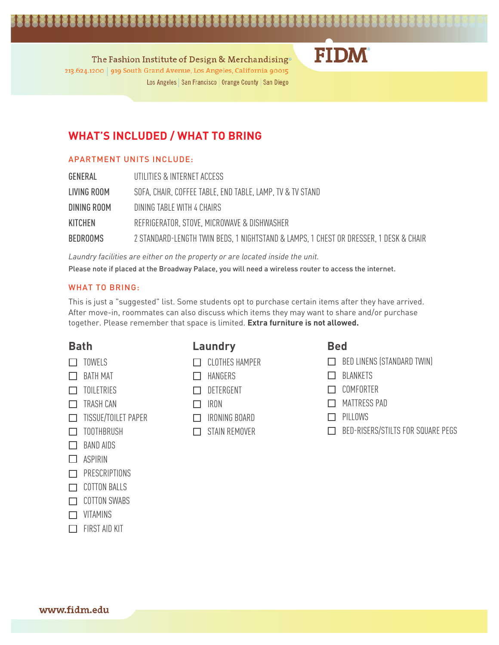## 

The Fashion Institute of Design & Merchandising® 213.624.1200 | 919 South Grand Avenue, Los Angeles, California 90015 Los Angeles | San Francisco | Orange County | San Diego

### **WHAT'S INCLUDED / WHAT TO BRING**

#### APARTMENT UNITS INCLUDE:

| GENERAL         | UTILITIES & INTERNET ACCESS                                                           |
|-----------------|---------------------------------------------------------------------------------------|
| LIVING ROOM     | SOFA, CHAIR, COFFEE TABLE, END TABLE, LAMP, TV & TV STAND                             |
| DINING ROOM     | DINING TABLE WITH 4 CHAIRS                                                            |
| KITCHEN         | REFRIGERATOR, STOVE, MICROWAVE & DISHWASHER                                           |
| <b>BEDROOMS</b> | 2 STANDARD-LENGTH TWIN BEDS, 1 NIGHTSTAND & LAMPS, 1 CHEST OR DRESSER, 1 DESK & CHAIR |

*Laundry facilities are either on the property or are located inside the unit.* Please note if placed at the Broadway Palace, you will need a wireless router to access the internet.

#### WHAT TO BRING:

This is just a "suggested" list. Some students opt to purchase certain items after they have arrived. After move-in, roommates can also discuss which items they may want to share and/or purchase together. Please remember that space is limited. **Extra furniture is not allowed.**

#### **Bath**

- $\Box$  TOWELS
- $\Box$  BATH MAT
- $\Box$  TOILETRIES
- $\Box$  TRASH CAN
- TISSUE/TOILET PAPER
- $\Box$  TOOTHBRUSH
- $\Box$  BAND AIDS
- $\Box$  ASPIRIN
- $\Box$  PRESCRIPTIONS
- $\Box$  COTTON BALLS
- $\Box$  COTTON SWABS
- **D** VITAMINS
- $\Box$  FIRST AID KIT

### **Laundry**

- CLOTHES HAMPER
- $\Box$  HANGERS
- DETERGENT
- $\Box$  IRON
- IRONING BOARD
- $\Box$  STAIN REMOVER

#### **Bed**

**FIDM** 

- $\Box$  BED LINENS (STANDARD TWIN)
- **D** BLANKETS
- COMFORTER
- **NATTRESS PAD**
- $\Box$  PILLOWS
- BED-RISERS/STILTS FOR SQUARE PEGS